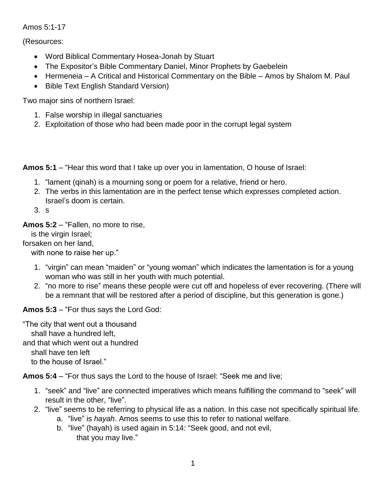## Amos 5:1-17

(Resources:

- Word Biblical Commentary Hosea-Jonah by Stuart
- The Expositor's Bible Commentary Daniel, Minor Prophets by Gaebelein
- Hermeneia A Critical and Historical Commentary on the Bible Amos by Shalom M. Paul
- Bible Text English Standard Version)

Two major sins of northern Israel:

- 1. False worship in illegal sanctuaries
- 2. Exploitation of those who had been made poor in the corrupt legal system

**Amos 5:1** – "Hear this word that I take up over you in lamentation, O house of Israel:

- 1. "lament (qinah) is a mourning song or poem for a relative, friend or hero.
- 2. The verbs in this lamentation are in the perfect tense which expresses completed action. Israel's doom is certain.
- 3. s

**Amos 5:2** – "Fallen, no more to rise,

is the virgin Israel;

forsaken on her land,

with none to raise her up."

- 1. "virgin" can mean "maiden" or "young woman" which indicates the lamentation is for a young woman who was still in her youth with much potential.
- 2. "no more to rise" means these people were cut off and hopeless of ever recovering. (There will be a remnant that will be restored after a period of discipline, but this generation is gone.)

**Amos 5:3** – "For thus says the Lord God:

"The city that went out a thousand shall have a hundred left, and that which went out a hundred shall have ten left to the house of Israel."

**Amos 5:4** – "For thus says the Lord to the house of Israel: "Seek me and live;

- 1. "seek" and "live" are connected imperatives which means fulfilling the command to "seek" will result in the other, "live".
- 2. "live" seems to be referring to physical life as a nation. In this case not specifically spiritual life.
	- a. "live" is *hayah*. Amos seems to use this to refer to national welfare.
	- b. "live" (hayah) is used again in 5:14: "Seek good, and not evil, that you may live."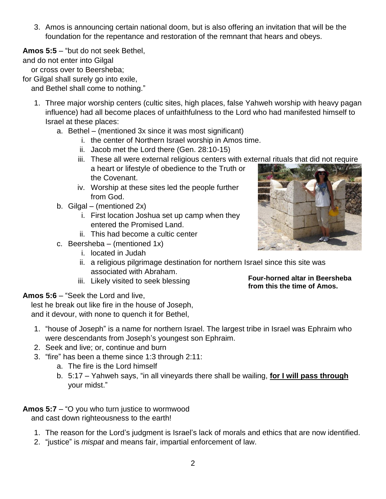3. Amos is announcing certain national doom, but is also offering an invitation that will be the foundation for the repentance and restoration of the remnant that hears and obeys.

**Amos 5:5** – "but do not seek Bethel,

and do not enter into Gilgal

or cross over to Beersheba;

for Gilgal shall surely go into exile,

and Bethel shall come to nothing."

- 1. Three major worship centers (cultic sites, high places, false Yahweh worship with heavy pagan influence) had all become places of unfaithfulness to the Lord who had manifested himself to Israel at these places:
	- a. Bethel (mentioned 3x since it was most significant)
		- i. the center of Northern Israel worship in Amos time.
		- ii. Jacob met the Lord there (Gen. 28:10-15)
		- iii. These all were external religious centers with external rituals that did not require a heart or lifestyle of obedience to the Truth or the Covenant.
		- iv. Worship at these sites led the people further from God.
	- b. Gilgal (mentioned  $2x$ )
		- i. First location Joshua set up camp when they entered the Promised Land.
		- ii. This had become a cultic center
	- c. Beersheba (mentioned 1x)
		- i. located in Judah
		- ii. a religious pilgrimage destination for northern Israel since this site was associated with Abraham. **Four-horned altar in Beersheba**
		- iii. Likely visited to seek blessing

## **Amos 5:6** – "Seek the Lord and live,

 lest he break out like fire in the house of Joseph, and it devour, with none to quench it for Bethel,

- 1. "house of Joseph" is a name for northern Israel. The largest tribe in Israel was Ephraim who were descendants from Joseph's youngest son Ephraim.
- 2. Seek and live; or, continue and burn
- 3. "fire" has been a theme since 1:3 through 2:11:
	- a. The fire is the Lord himself
	- b. 5:17 Yahweh says, "in all vineyards there shall be wailing, **for I will pass through** your midst."
- **Amos 5:7** "O you who turn justice to wormwood and cast down righteousness to the earth!
	- 1. The reason for the Lord's judgment is Israel's lack of morals and ethics that are now identified.

2

2. "justice" is *mispat* and means fair, impartial enforcement of law.



**from this the time of Amos.**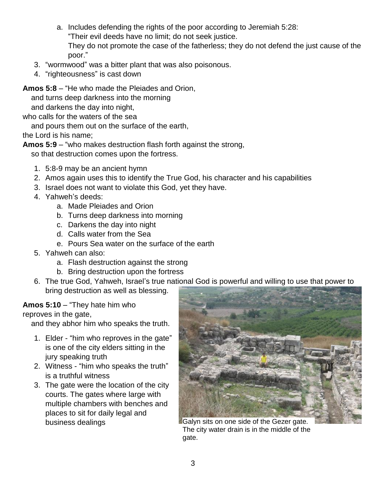a. Includes defending the rights of the poor according to Jeremiah 5:28: "Their evil deeds have no limit; do not seek justice.

They do not promote the case of the fatherless; they do not defend the just cause of the poor."

- 3. "wormwood" was a bitter plant that was also poisonous.
- 4. "righteousness" is cast down

**Amos 5:8** – "He who made the Pleiades and Orion,

and turns deep darkness into the morning

and darkens the day into night,

who calls for the waters of the sea

and pours them out on the surface of the earth,

the Lord is his name;

**Amos 5:9** – "who makes destruction flash forth against the strong,

so that destruction comes upon the fortress.

- 1. 5:8-9 may be an ancient hymn
- 2. Amos again uses this to identify the True God, his character and his capabilities
- 3. Israel does not want to violate this God, yet they have.
- 4. Yahweh's deeds:
	- a. Made Pleiades and Orion
	- b. Turns deep darkness into morning
	- c. Darkens the day into night
	- d. Calls water from the Sea
	- e. Pours Sea water on the surface of the earth
- 5. Yahweh can also:
	- a. Flash destruction against the strong
	- b. Bring destruction upon the fortress
- 6. The true God, Yahweh, Israel's true national God is powerful and willing to use that power to bring destruction as well as blessing.

## **Amos 5:10** – "They hate him who

reproves in the gate,

and they abhor him who speaks the truth.

- 1. Elder "him who reproves in the gate" is one of the city elders sitting in the jury speaking truth
- 2. Witness "him who speaks the truth" is a truthful witness
- 3. The gate were the location of the city courts. The gates where large with multiple chambers with benches and places to sit for daily legal and business dealings **Galyn** sits on one side of the Gezer gate.



The city water drain is in the middle of the gate.